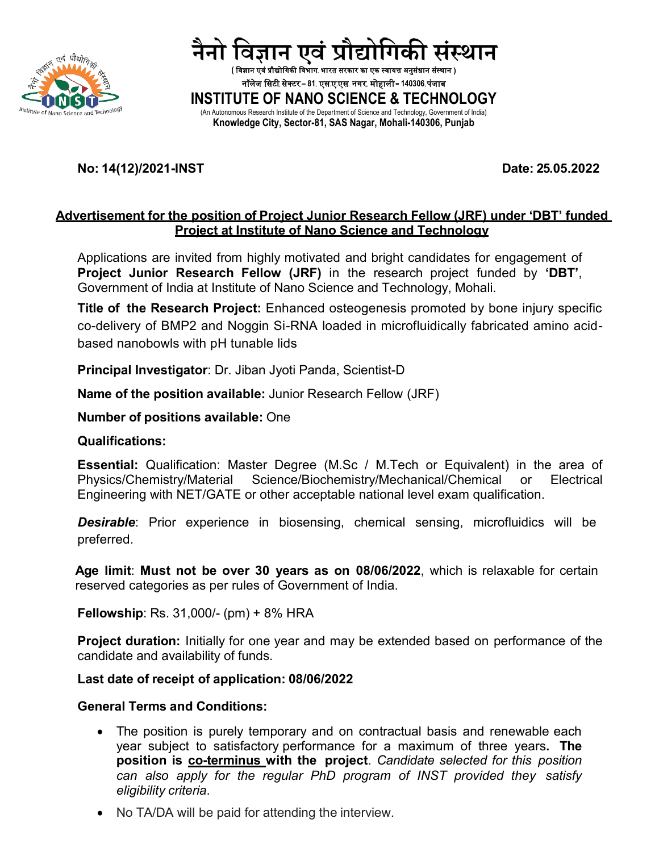

रंस्थान ( विज्ञान एवं प्रौद्योगिकी विभाग भारत सरकार का एक स्वायत्त अनुसंधान संस्थान ) नॉलजे वसटी**,** सेक्टर **– <sup>81</sup>,** एस**.**ए**.**एस**.** निर**,** मोहाली- **<sup>140306</sup>,** पजं ाब **INSTITUTE OF NANO SCIENCE & TECHNOLOGY** (An Autonomous Research Institute of the Department of Science and Technology, Government of India) **Knowledge City, Sector-81, SAS Nagar, Mohali-140306, Punjab** 

# **No: 14(12)/2021-INST Date: 25.05.2022**

### **Advertisement for the position of Project Junior Research Fellow (JRF) under 'DBT' funded Project at Institute of Nano Science and Technology**

Applications are invited from highly motivated and bright candidates for engagement of **Project Junior Research Fellow (JRF)** in the research project funded by **'DBT'**, Government of India at Institute of Nano Science and Technology, Mohali.

**Title of the Research Project:** Enhanced osteogenesis promoted by bone injury specific co-delivery of BMP2 and Noggin Si-RNA loaded in microfluidically fabricated amino acidbased nanobowls with pH tunable lids

**Principal Investigator**: Dr. Jiban Jyoti Panda, Scientist-D

**Name of the position available:** Junior Research Fellow (JRF)

**Number of positions available:** One

## **Qualifications:**

**Essential:** Qualification: Master Degree (M.Sc / M.Tech or Equivalent) in the area of Physics/Chemistry/Material Science/Biochemistry/Mechanical/Chemical or Electrical Engineering with NET/GATE or other acceptable national level exam qualification.

**Desirable**: Prior experience in biosensing, chemical sensing, microfluidics will be preferred.

**Age limit**: **Must not be over 30 years as on 08/06/2022**, which is relaxable for certain reserved categories as per rules of Government of India.

**Fellowship**: Rs. 31,000/- (pm) + 8% HRA

**Project duration:** Initially for one year and may be extended based on performance of the candidate and availability of funds.

## **Last date of receipt of application: 08/06/2022**

## **General Terms and Conditions:**

- The position is purely temporary and on contractual basis and renewable each year subject to satisfactory performance for a maximum of three years**. The position is co-terminus with the project**. *Candidate selected for this position can also apply for the regular PhD program of INST provided they satisfy eligibility criteria*.
- No TA/DA will be paid for attending the interview.